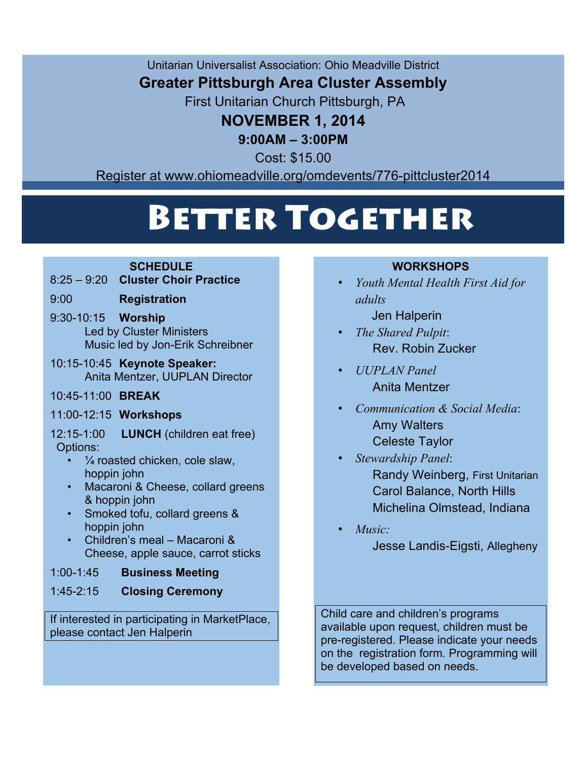Unitarian Universalist Association: Ohio Meadville District

# **Greater Pittsburgh Area Cluster Assembly**

First Unitarian Church Pittsburgh, PA

# **NOVEMBER 1, 2014**

### **9:00AM – 3:00PM**

Cost: \$15.00

Register at www.ohiomeadville.org/omdevents/776-pittcluster2014

Cost: \$15.00

# Better Together

### **SCHEDULE**

- 8:25 9:20 **Cluster Choir Practice**
- 9:00 **Registration**
- 9:30-10:15 **Worship** Led by Cluster Ministers Music led by Jon-Erik Schreibner
- 10:15-10:45 **Keynote Speaker:** Anita Mentzer, UUPLAN Director
- 10:45-11:00 **BREAK**
- 11:00-12:15 **Workshops**

12:15-1:00 **LUNCH** (children eat free) Options:

- $\frac{1}{4}$  roasted chicken, cole slaw, hoppin john
- Macaroni & Cheese, collard greens & hoppin john
- Smoked tofu, collard greens & hoppin john
- Children's meal Macaroni & Cheese, apple sauce, carrot sticks

### 1:00-1:45 **Business Meeting**

1:45-2:15 **Closing Ceremony**

If interested in participating in MarketPlace, please contact Jen Halperin

### **WORKSHOPS**

- *Youth Mental Health First Aid for adults*
	- Jen Halperin
- *The Shared Pulpit*: Rev. Robin Zucker
- *UUPLAN Panel* Anita Mentzer
- *Communication & Social Media*: Amy Walters Celeste Taylor
	- *Stewardship Panel*: Randy Weinberg, First Unitarian Carol Balance, North Hills Michelina Olmstead, Indiana
- *Music:*

Jesse Landis-Eigsti, Allegheny

Child care and children's programs available upon request, children must be pre-registered. Please indicate your needs on the registration form. Programming will be developed based on needs.